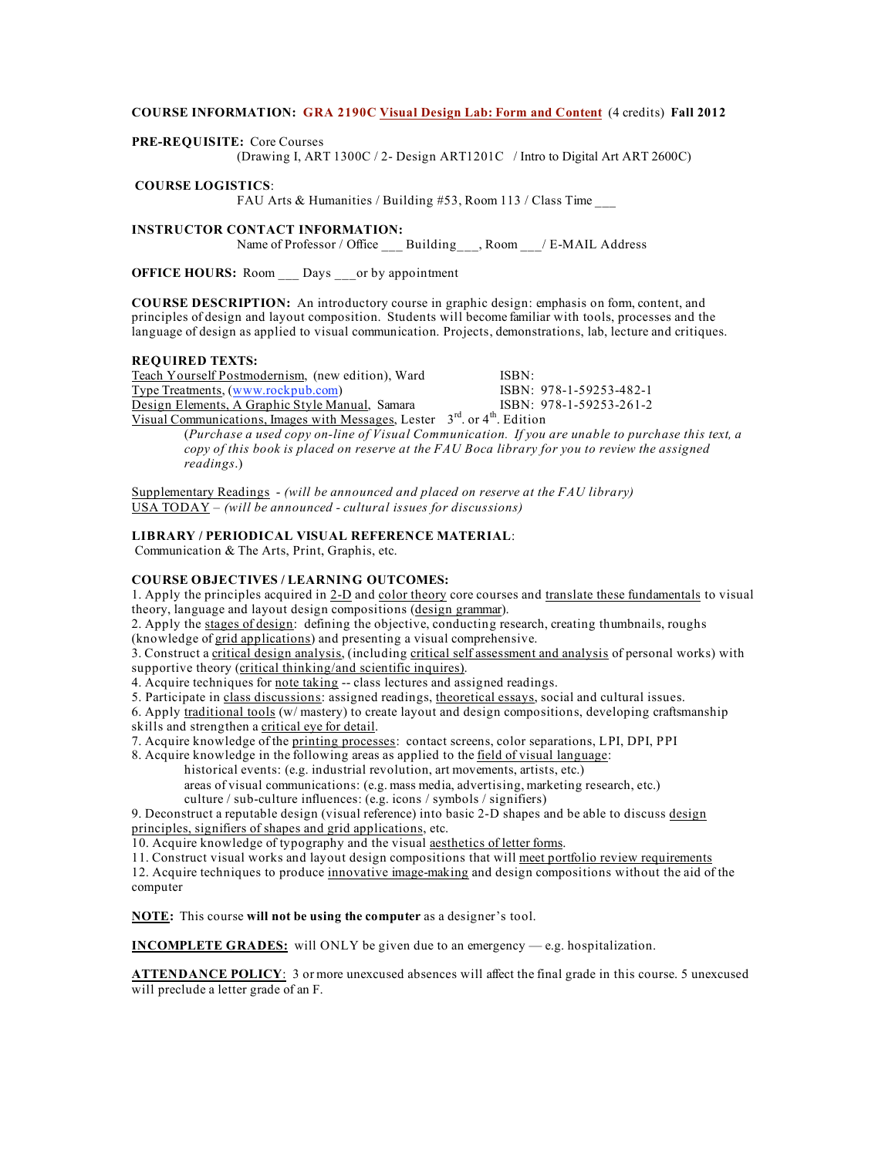# **COURSE INFORMATION: GRA 2190C Visual Design Lab: Form and Content** (4 credits) **Fall 2012**

**PRE-REQUISITE:** Core Courses

(Drawing I, ART 1300C / 2- Design ART1201C / Intro to Digital Art ART 2600C)

## **COURSE LOGISTICS**:

FAU Arts & Humanities / Building #53, Room 113 / Class Time \_\_\_

# **INSTRUCTOR CONTACT INFORMATION:**

Name of Professor / Office Building, Room / E-MAIL Address

**OFFICE HOURS:** Room Days or by appointment

**COURSE DESCRIPTION:** An introductory course in graphic design: emphasis on form, content, and principles of design and layout composition. Students will become familiar with tools, processes and the language of design as applied to visual communication. Projects, demonstrations, lab, lecture and critiques.

# **REQUIRED TEXTS:**

| Teach Yourself Postmodernism, (new edition), Ward                                            | ISBN:                     |  |  |  |  |
|----------------------------------------------------------------------------------------------|---------------------------|--|--|--|--|
| Type Treatments, (www.rockpub.com)                                                           | ISBN: 978-1-59253-482-1   |  |  |  |  |
| Design Elements, A Graphic Style Manual, Samara                                              | $ISBN: 978-1-59253-261-2$ |  |  |  |  |
| Vigual Communications Images with Messages Letter $2^{\text{rd}}$ or $4^{\text{th}}$ Edition |                           |  |  |  |  |

 $\alpha$ mmunications, images with Messages, Lester  $3^{\omega}$ . or 4 $^{\omega}$ . Edition (*Purchase a used copy on-line of Visual Communication. If you are unable to purchase this text, a copy of this book is placed on reserve at the FAU Boca library for you to review the assigned readings*.)

Supplementary Readings - *(will be announced and placed on reserve at the FAU library)* USA TODAY – *(will be announced - cultural issues for discussions)* 

## **LIBRARY / PERIODICAL VISUAL REFERENCE MATERIAL**:

Communication & The Arts, Print, Graphis, etc.

### **COURSE OBJECTIVES / LEARNING OUTCOMES:**

1. Apply the principles acquired in 2-D and color theory core courses and translate these fundamentals to visual theory, language and layout design compositions (design grammar).

2. Apply the stages of design: defining the objective, conducting research, creating thumbnails, roughs (knowledge of grid applications) and presenting a visual comprehensive.

3. Construct a critical design analysis, (including critical self assessment and analysis of personal works) with supportive theory (critical thinking/and scientific inquires).

4. Acquire techniques for note taking -- class lectures and assigned readings.

5. Participate in class discussions: assigned readings, theoretical essays, social and cultural issues.

6. Apply traditional tools (w/ mastery) to create layout and design compositions, developing craftsmanship skills and strengthen a critical eye for detail.

7. Acquire knowledge of the printing processes: contact screens, color separations, LPI, DPI, PPI

8. Acquire knowledge in the following areas as applied to the field of visual language:

historical events: (e.g. industrial revolution, art movements, artists, etc.) areas of visual communications: (e.g. mass media, advertising, marketing research, etc.)

culture / sub-culture influences: (e.g. icons / symbols / signifiers)

9. Deconstruct a reputable design (visual reference) into basic 2-D shapes and be able to discuss design principles, signifiers of shapes and grid applications, etc.

10. Acquire knowledge of typography and the visual aesthetics of letter forms.

11. Construct visual works and layout design compositions that will meet portfolio review requirements

12. Acquire techniques to produce innovative image-making and design compositions without the aid of the computer

**NOTE:** This course **will not be using the computer** as a designer's tool.

**INCOMPLETE GRADES:** will ONLY be given due to an emergency — e.g. hospitalization.

**ATTENDANCE POLICY**: 3 or more unexcused absences will affect the final grade in this course. 5 unexcused will preclude a letter grade of an F.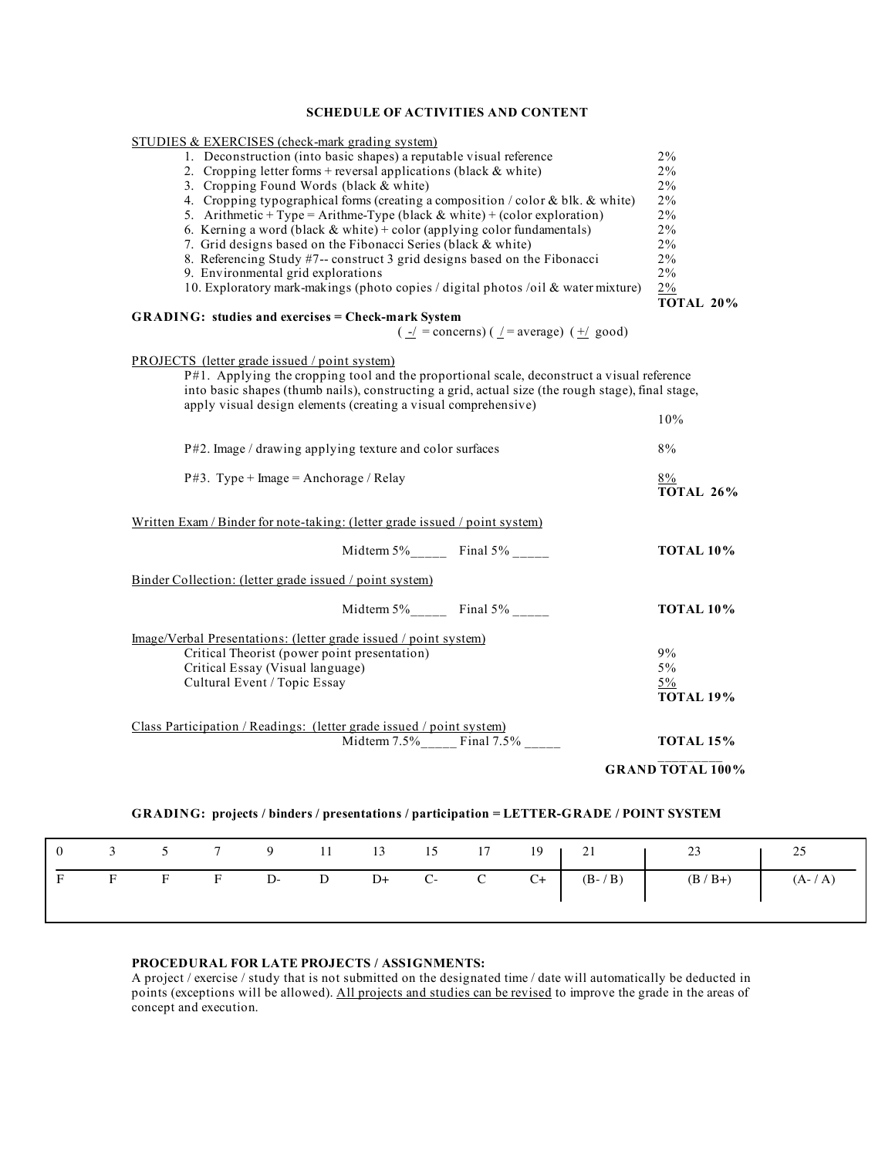# **SCHEDULE OF ACTIVITIES AND CONTENT**

| STUDIES & EXERCISES (check-mark grading system)                                                             |                           |
|-------------------------------------------------------------------------------------------------------------|---------------------------|
| 1. Deconstruction (into basic shapes) a reputable visual reference                                          | $2\%$                     |
| 2. Cropping letter forms + reversal applications (black $&$ white)                                          | $2\%$                     |
| 3. Cropping Found Words (black & white)                                                                     | $2\%$                     |
| 4. Cropping typographical forms (creating a composition / color & blk. & white)                             | $2\%$                     |
| 5. Arithmetic + Type = Arithme-Type (black $&$ white) + (color exploration)                                 | $2\%$                     |
| 6. Kerning a word (black $&$ white) + color (applying color fundamentals)                                   | $2\%$                     |
| 7. Grid designs based on the Fibonacci Series (black & white)                                               | $2\%$                     |
| 8. Referencing Study #7-- construct 3 grid designs based on the Fibonacci                                   | $2\%$                     |
|                                                                                                             | $2\%$                     |
| 9. Environmental grid explorations                                                                          |                           |
| 10. Exploratory mark-makings (photo copies / digital photos /oil & water mixture)                           | 2%<br><b>TOTAL 20%</b>    |
| <b>GRADING: studies and exercises = Check-mark System</b>                                                   |                           |
| $\left(\frac{-1}{2}\right)$ = concerns) ( $\frac{1}{2}$ = average) ( $\frac{+1}{2}$ good)                   |                           |
| <b>PROJECTS</b> (letter grade issued / point system)                                                        |                           |
| $P#1$ . Applying the cropping tool and the proportional scale, deconstruct a visual reference               |                           |
| into basic shapes (thumb nails), constructing a grid, actual size (the rough stage), final stage,           |                           |
| apply visual design elements (creating a visual comprehensive)                                              |                           |
|                                                                                                             | 10%                       |
|                                                                                                             |                           |
| P#2. Image / drawing applying texture and color surfaces                                                    | 8%                        |
|                                                                                                             |                           |
| $P#3$ . Type + Image = Anchorage / Relay                                                                    | $8\%$<br><b>TOTAL 26%</b> |
|                                                                                                             |                           |
| Written Exam / Binder for note-taking: (letter grade issued / point system)                                 |                           |
|                                                                                                             |                           |
| Midterm $5\%$ Final $5\%$ _____                                                                             | <b>TOTAL 10%</b>          |
|                                                                                                             |                           |
| Binder Collection: (letter grade issued / point system)                                                     |                           |
|                                                                                                             |                           |
| Midterm $5\%$ Final $5\%$                                                                                   | <b>TOTAL 10%</b>          |
|                                                                                                             |                           |
|                                                                                                             |                           |
| Image/Verbal Presentations: (letter grade issued / point system)                                            |                           |
| Critical Theorist (power point presentation)                                                                | 9%                        |
| Critical Essay (Visual language)                                                                            | $5\%$                     |
| Cultural Event / Topic Essay                                                                                | 5%                        |
|                                                                                                             | <b>TOTAL 19%</b>          |
|                                                                                                             |                           |
|                                                                                                             |                           |
| Class Participation / Readings: (letter grade issued / point system)<br>Midterm 7.5%_____ Final 7.5% ______ | <b>TOTAL 15%</b>          |
|                                                                                                             | <b>GRAND TOTAL 100%</b>   |
|                                                                                                             |                           |
|                                                                                                             |                           |
| GRADING: projects / binders / presentations / participation = LETTER-GRADE / POINT SYSTEM                   |                           |

|  |  |  |  |  | 0 3 5 7 9 11 13 15 17 19 21 1 23 25                      |  |
|--|--|--|--|--|----------------------------------------------------------|--|
|  |  |  |  |  | F F F F D- D D+ C- C C+ $(B^{-}/B)$ $(B/B+)$ $(A^{-}/A)$ |  |
|  |  |  |  |  |                                                          |  |

# **PROCEDURAL FOR LATE PROJECTS / ASSIGNMENTS:**

A project / exercise / study that is not submitted on the designated time / date will automatically be deducted in points (exceptions will be allowed). All projects and studies can be revised to improve the grade in the areas of concept and execution.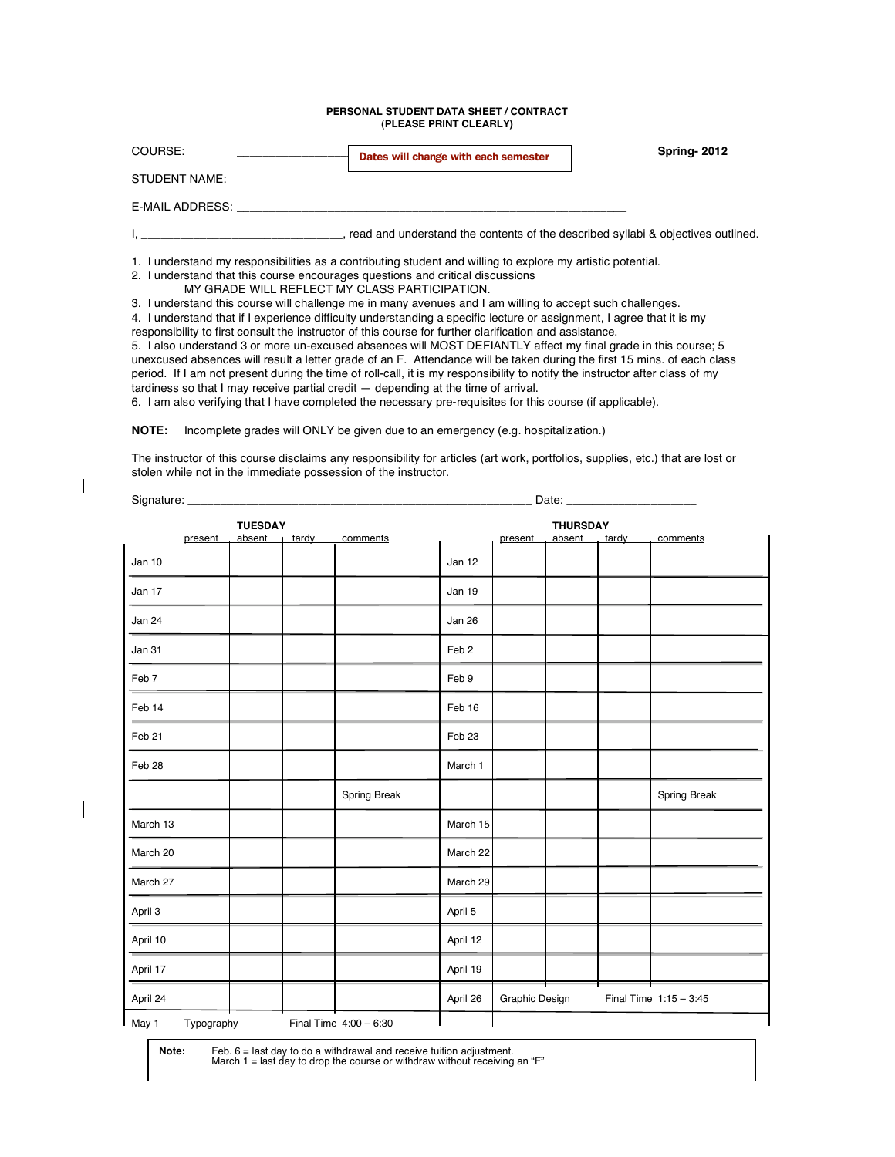### **PERSONAL STUDENT DATA SHEET / CONTRACT (PLEASE PRINT CLEARLY)**

| COURSE:                                                                                                                                                                                                                        | Dates will change with each semester                                                                        | <b>Spring-2012</b> |
|--------------------------------------------------------------------------------------------------------------------------------------------------------------------------------------------------------------------------------|-------------------------------------------------------------------------------------------------------------|--------------------|
| STUDENT NAME: THE STUDENT NAME:                                                                                                                                                                                                |                                                                                                             |                    |
| E-MAIL ADDRESS: New York Contract the Contract of the Contract of the Contract of the Contract of the Contract of the Contract of the Contract of the Contract of the Contract of the Contract of the Contract of the Contract |                                                                                                             |                    |
|                                                                                                                                                                                                                                | , read and understand the contents of the described syllabi & objectives outlined.                          |                    |
| 2. I understand that this course encourages questions and critical discussions<br>MY GRADE WILL REFLECT MY CLASS PARTICIPATION.                                                                                                | 1. I understand my responsibilities as a contributing student and willing to explore my artistic potential. |                    |
|                                                                                                                                                                                                                                | 3. I understand this course will challenge me in many avenues and I am willing to accept such challenges.   |                    |

4. I understand that if I experience difficulty understanding a specific lecture or assignment, I agree that it is my responsibility to first consult the instructor of this course for further clarification and assistance.

5. I also understand 3 or more un-excused absences will MOST DEFIANTLY affect my final grade in this course; 5 unexcused absences will result a letter grade of an F. Attendance will be taken during the first 15 mins. of each class period. If I am not present during the time of roll-call, it is my responsibility to notify the instructor after class of my tardiness so that I may receive partial credit — depending at the time of arrival.

6. I am also verifying that I have completed the necessary pre-requisites for this course (if applicable).

**NOTE:** Incomplete grades will ONLY be given due to an emergency (e.g. hospitalization.)

The instructor of this course disclaims any responsibility for articles (art work, portfolios, supplies, etc.) that are lost or stolen while not in the immediate possession of the instructor.

| <b>TUESDAY</b> |         |                  |  |              |                  |                | <b>THURSDAY</b> |       |                          |
|----------------|---------|------------------|--|--------------|------------------|----------------|-----------------|-------|--------------------------|
|                | present | absent $ $ tardy |  | comments     |                  | present        | absent.         | tardy | comments                 |
| Jan 10         |         |                  |  |              | Jan 12           |                |                 |       |                          |
| Jan 17         |         |                  |  |              | Jan 19           |                |                 |       |                          |
| Jan 24         |         |                  |  |              | Jan 26           |                |                 |       |                          |
| Jan 31         |         |                  |  |              | Feb <sub>2</sub> |                |                 |       |                          |
| Feb 7          |         |                  |  |              | Feb 9            |                |                 |       |                          |
| Feb 14         |         |                  |  |              | Feb 16           |                |                 |       |                          |
| Feb 21         |         |                  |  |              | Feb 23           |                |                 |       |                          |
| Feb 28         |         |                  |  |              | March 1          |                |                 |       |                          |
|                |         |                  |  | Spring Break |                  |                |                 |       | Spring Break             |
| March 13       |         |                  |  |              | March 15         |                |                 |       |                          |
| March 20       |         |                  |  |              | March 22         |                |                 |       |                          |
| March 27       |         |                  |  |              | March 29         |                |                 |       |                          |
| April 3        |         |                  |  |              | April 5          |                |                 |       |                          |
| April 10       |         |                  |  |              | April 12         |                |                 |       |                          |
| April 17       |         |                  |  |              | April 19         |                |                 |       |                          |
| April 24       |         |                  |  |              | April 26         | Graphic Design |                 |       | Final Time $1:15 - 3:45$ |

**Note:** Feb. 6 = last day to do a withdrawal and receive tuition adjustment. March 1 = last day to drop the course or withdraw without receiving an "F"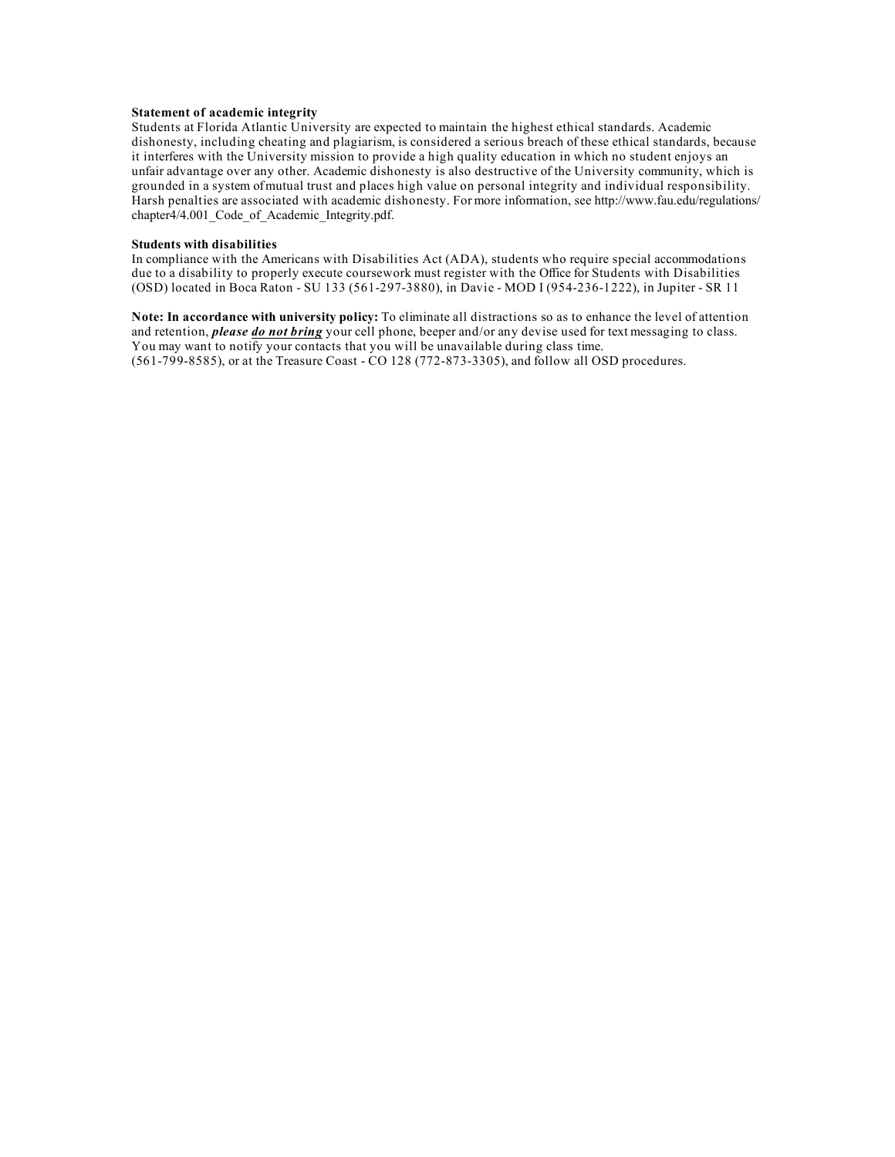### **Statement of academic integrity**

Students at Florida Atlantic University are expected to maintain the highest ethical standards. Academic dishonesty, including cheating and plagiarism, is considered a serious breach of these ethical standards, because it interferes with the University mission to provide a high quality education in which no student enjoys an unfair advantage over any other. Academic dishonesty is also destructive of the University community, which is grounded in a system of mutual trust and places high value on personal integrity and individual responsibility. Harsh penalties are associated with academic dishonesty. For more information, see http://www.fau.edu/regulations/ chapter4/4.001 Code of Academic Integrity.pdf.

### **Students with disabilities**

In compliance with the Americans with Disabilities Act (ADA), students who require special accommodations due to a disability to properly execute coursework must register with the Office for Students with Disabilities (OSD) located in Boca Raton - SU 133 (561-297-3880), in Davie - MOD I (954-236-1222), in Jupiter - SR 11

**Note: In accordance with university policy:** To eliminate all distractions so as to enhance the level of attention and retention, *please do not bring* your cell phone, beeper and/or any devise used for text messaging to class. You may want to notify your contacts that you will be unavailable during class time. (561-799-8585), or at the Treasure Coast - CO 128 (772-873-3305), and follow all OSD procedures.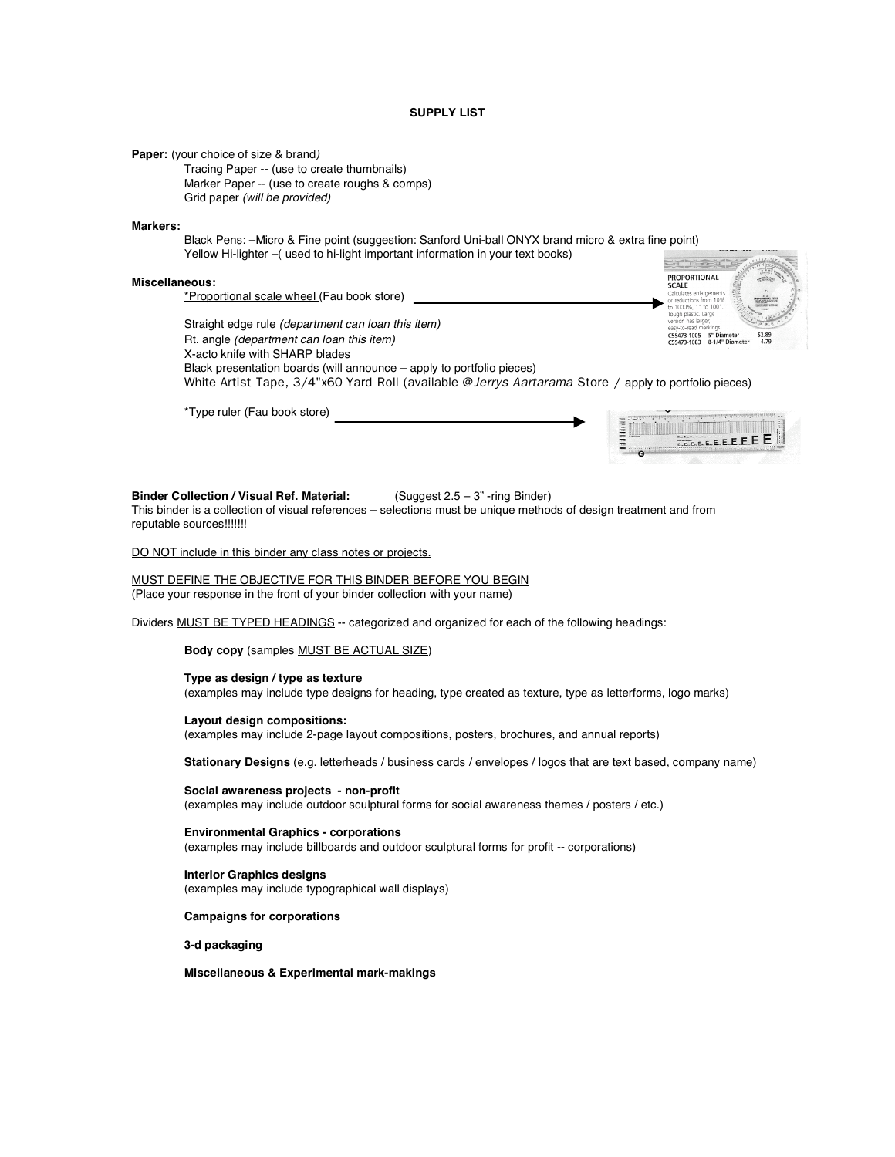### **SUPPLY LIST**

**Paper:** (your choice of size & brand*)* 

Tracing Paper -- (use to create thumbnails) Marker Paper -- (use to create roughs & comps) Grid paper *(will be provided)*

#### **Markers:**

Black Pens: –Micro & Fine point (suggestion: Sanford Uni-ball ONYX brand micro & extra fine point) Yellow Hi-lighter –( used to hi-light important information in your text books)

### **Miscellaneous:**

\*Proportional scale wheel (Fau book store)

 $\frac{1}{\sqrt{1-\frac{1}{2}}}$ PROPORTIONAL<br>SCALE C55473-1005 5" Diameter<br>C55473-1083 8-1/4" Diameter

Straight edge rule *(department can loan this item)* Rt. angle *(department can loan this item)* X-acto knife with SHARP blades Black presentation boards (will announce – apply to portfolio pieces) White Artist Tape, 3/4"x60 Yard Roll (available @*Jerrys Aartarama* Store / apply to portfolio pieces)

\*Type ruler (Fau book store)



#### **Binder Collection / Visual Ref. Material:** (Suggest 2.5 – 3" -ring Binder)

This binder is a collection of visual references – selections must be unique methods of design treatment and from reputable sources!!!!!!!

DO NOT include in this binder any class notes or projects.

MUST DEFINE THE OBJECTIVE FOR THIS BINDER BEFORE YOU BEGIN (Place your response in the front of your binder collection with your name)

Dividers MUST BE TYPED HEADINGS -- categorized and organized for each of the following headings:

**Body copy** (samples MUST BE ACTUAL SIZE)

#### **Type as design / type as texture**

(examples may include type designs for heading, type created as texture, type as letterforms, logo marks)

### **Layout design compositions:**

(examples may include 2-page layout compositions, posters, brochures, and annual reports)

**Stationary Designs** (e.g. letterheads / business cards / envelopes / logos that are text based, company name)

**Social awareness projects - non-profit** (examples may include outdoor sculptural forms for social awareness themes / posters / etc.)

**Environmental Graphics - corporations** (examples may include billboards and outdoor sculptural forms for profit -- corporations)

**Interior Graphics designs** (examples may include typographical wall displays)

### **Campaigns for corporations**

**3-d packaging**

**Miscellaneous & Experimental mark-makings**